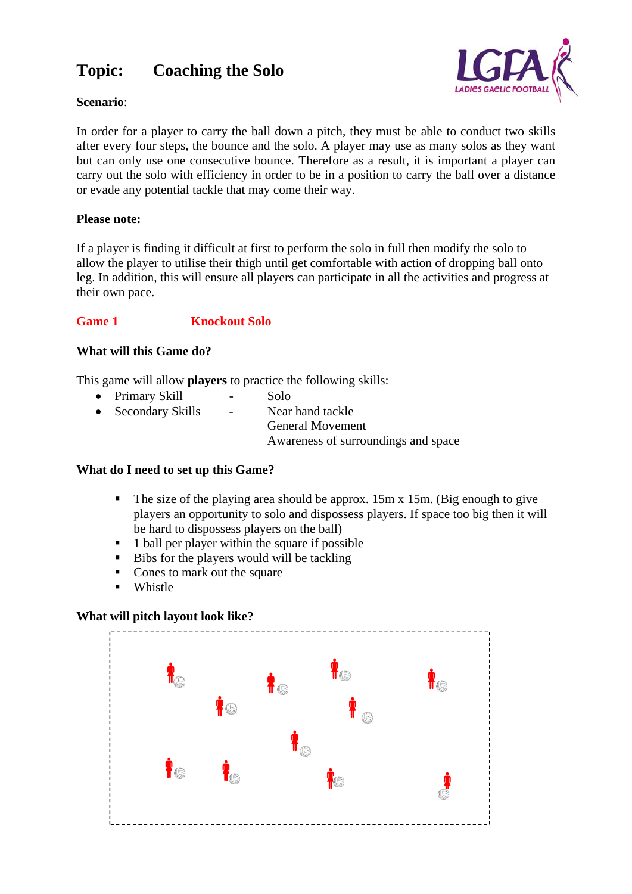### **Topic: Coaching the Solo**



#### **Scenario**:

In order for a player to carry the ball down a pitch, they must be able to conduct two skills after every four steps, the bounce and the solo. A player may use as many solos as they want but can only use one consecutive bounce. Therefore as a result, it is important a player can carry out the solo with efficiency in order to be in a position to carry the ball over a distance or evade any potential tackle that may come their way.

#### **Please note:**

If a player is finding it difficult at first to perform the solo in full then modify the solo to allow the player to utilise their thigh until get comfortable with action of dropping ball onto leg. In addition, this will ensure all players can participate in all the activities and progress at their own pace.

#### **Game 1 Knockout Solo**

#### **What will this Game do?**

This game will allow **players** to practice the following skills:

| • Primary Skill    | $\sim$ | Solo                                |
|--------------------|--------|-------------------------------------|
| • Secondary Skills | $\sim$ | Near hand tackle                    |
|                    |        | <b>General Movement</b>             |
|                    |        | Awareness of surroundings and space |

#### **What do I need to set up this Game?**

- The size of the playing area should be approx.  $15m \times 15m$ . (Big enough to give players an opportunity to solo and dispossess players. If space too big then it will be hard to dispossess players on the ball)
- $\blacksquare$  1 ball per player within the square if possible
- Bibs for the players would will be tackling
- Cones to mark out the square
- **Whistle**

#### **What will pitch layout look like?**

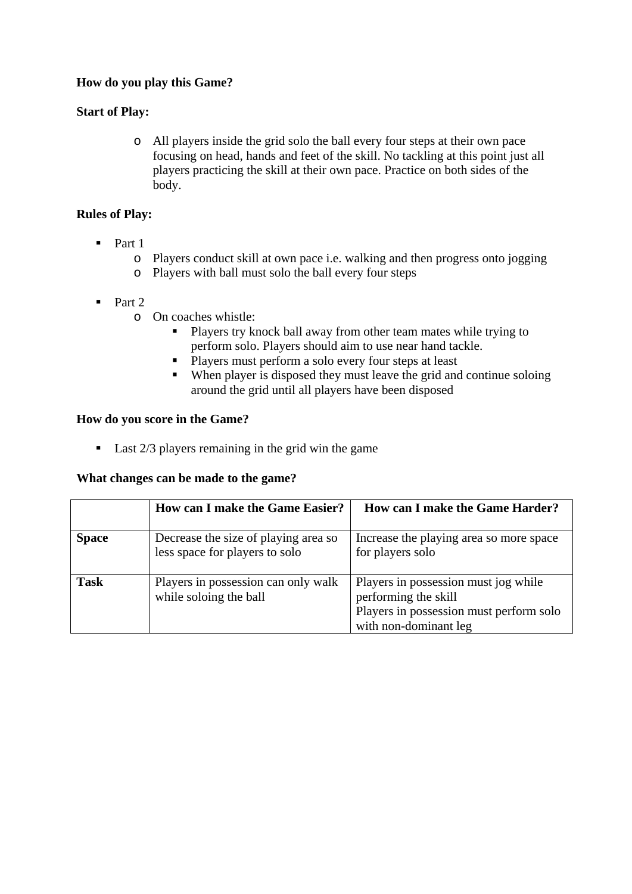#### **How do you play this Game?**

#### **Start of Play:**

o All players inside the grid solo the ball every four steps at their own pace focusing on head, hands and feet of the skill. No tackling at this point just all players practicing the skill at their own pace. Practice on both sides of the body.

#### **Rules of Play:**

- $\blacksquare$  Part 1
	- o Players conduct skill at own pace i.e. walking and then progress onto jogging
	- o Players with ball must solo the ball every four steps
- $\blacksquare$  Part 2
	- o On coaches whistle:
		- **Players try knock ball away from other team mates while trying to** perform solo. Players should aim to use near hand tackle.
		- Players must perform a solo every four steps at least
		- When player is disposed they must leave the grid and continue soloing around the grid until all players have been disposed

#### **How do you score in the Game?**

 $\blacksquare$  Last 2/3 players remaining in the grid win the game

#### **What changes can be made to the game?**

|              | <b>How can I make the Game Easier?</b>                                 | How can I make the Game Harder?                                                                                                  |
|--------------|------------------------------------------------------------------------|----------------------------------------------------------------------------------------------------------------------------------|
| <b>Space</b> | Decrease the size of playing area so<br>less space for players to solo | Increase the playing area so more space<br>for players solo                                                                      |
| <b>Task</b>  | Players in possession can only walk<br>while soloing the ball          | Players in possession must jog while<br>performing the skill<br>Players in possession must perform solo<br>with non-dominant leg |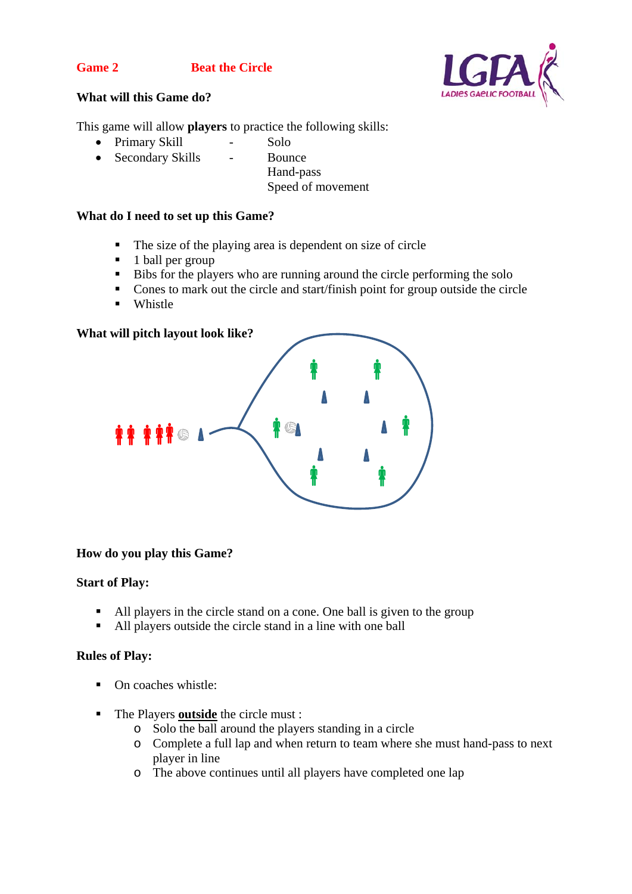#### **Game 2 Beat the Circle**



#### **What will this Game do?**

This game will allow **players** to practice the following skills:

- Primary Skill Solo
- Secondary Skills Bounce
	- Hand-pass
	- Speed of movement

#### **What do I need to set up this Game?**

- The size of the playing area is dependent on size of circle
- 1 ball per group
- Bibs for the players who are running around the circle performing the solo
- Cones to mark out the circle and start/finish point for group outside the circle
- **Whistle**

#### **What will pitch layout look like?**



#### **How do you play this Game?**

#### **Start of Play:**

- All players in the circle stand on a cone. One ball is given to the group
- All players outside the circle stand in a line with one ball

#### **Rules of Play:**

- On coaches whistle:
- The Players **outside** the circle must :
	- o Solo the ball around the players standing in a circle
	- o Complete a full lap and when return to team where she must hand-pass to next player in line
	- o The above continues until all players have completed one lap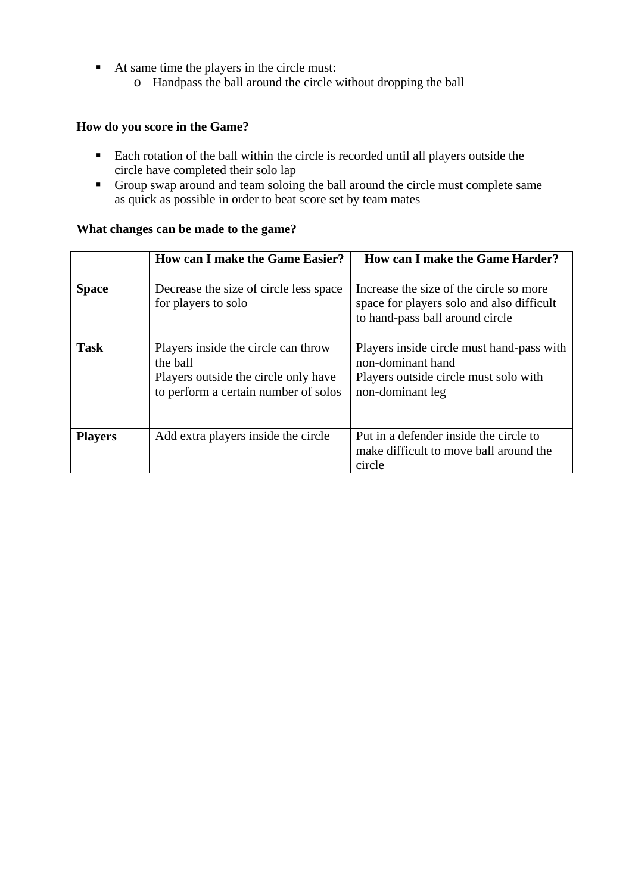- At same time the players in the circle must:
	- o Handpass the ball around the circle without dropping the ball

#### **How do you score in the Game?**

- Each rotation of the ball within the circle is recorded until all players outside the circle have completed their solo lap
- Group swap around and team soloing the ball around the circle must complete same as quick as possible in order to beat score set by team mates

#### **What changes can be made to the game?**

|                                                       | <b>How can I make the Game Easier?</b>                                                                                          | How can I make the Game Harder?                                                                                             |
|-------------------------------------------------------|---------------------------------------------------------------------------------------------------------------------------------|-----------------------------------------------------------------------------------------------------------------------------|
| <b>Space</b>                                          | Decrease the size of circle less space<br>for players to solo                                                                   | Increase the size of the circle so more<br>space for players solo and also difficult<br>to hand-pass ball around circle     |
| <b>Task</b>                                           | Players inside the circle can throw<br>the ball<br>Players outside the circle only have<br>to perform a certain number of solos | Players inside circle must hand-pass with<br>non-dominant hand<br>Players outside circle must solo with<br>non-dominant leg |
| Add extra players inside the circle<br><b>Players</b> |                                                                                                                                 | Put in a defender inside the circle to<br>make difficult to move ball around the<br>circle                                  |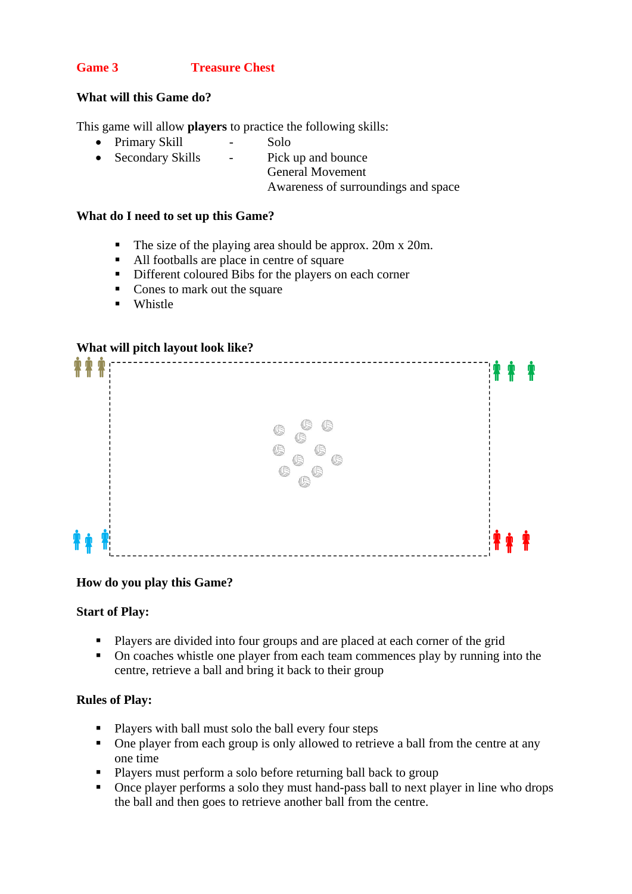#### **Game 3 Treasure Chest**

#### **What will this Game do?**

This game will allow **players** to practice the following skills:

- Primary Skill Solo
- Secondary Skills Pick up and bounce
	- General Movement

Awareness of surroundings and space

#### **What do I need to set up this Game?**

- The size of the playing area should be approx. 20m x 20m.
- All footballs are place in centre of square
- Different coloured Bibs for the players on each corner
- Cones to mark out the square
- **Whistle**

#### **What will pitch layout look like?**



#### **How do you play this Game?**

#### **Start of Play:**

- Players are divided into four groups and are placed at each corner of the grid
- On coaches whistle one player from each team commences play by running into the centre, retrieve a ball and bring it back to their group

#### **Rules of Play:**

- **Players with ball must solo the ball every four steps**
- One player from each group is only allowed to retrieve a ball from the centre at any one time
- Players must perform a solo before returning ball back to group
- Once player performs a solo they must hand-pass ball to next player in line who drops the ball and then goes to retrieve another ball from the centre.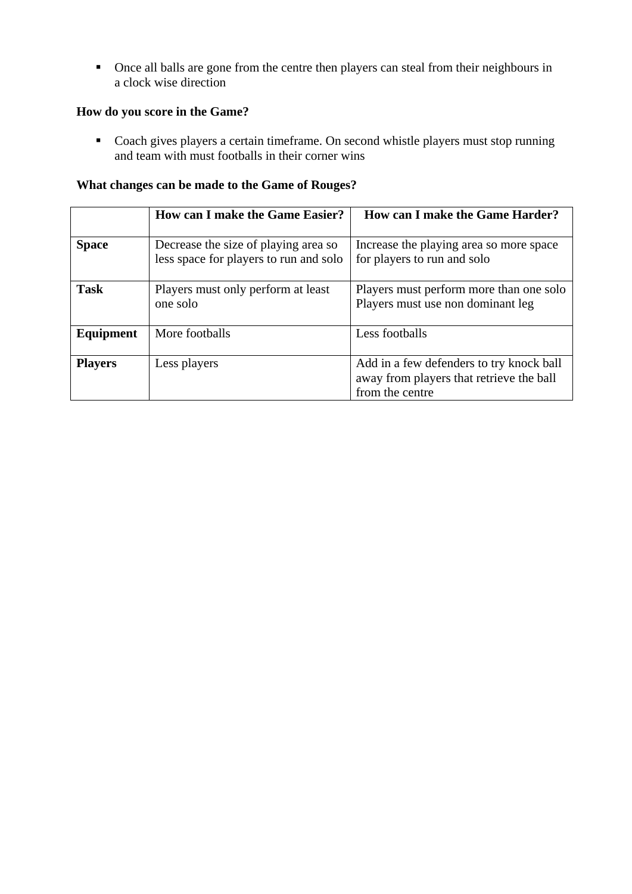• Once all balls are gone from the centre then players can steal from their neighbours in a clock wise direction

#### **How do you score in the Game?**

• Coach gives players a certain timeframe. On second whistle players must stop running and team with must footballs in their corner wins

#### **What changes can be made to the Game of Rouges?**

|                | <b>How can I make the Game Easier?</b>                                         | How can I make the Game Harder?                                                                         |
|----------------|--------------------------------------------------------------------------------|---------------------------------------------------------------------------------------------------------|
| <b>Space</b>   | Decrease the size of playing area so<br>less space for players to run and solo | Increase the playing area so more space<br>for players to run and solo                                  |
| <b>Task</b>    | Players must only perform at least<br>one solo                                 | Players must perform more than one solo<br>Players must use non dominant leg                            |
| Equipment      | More footballs                                                                 | Less footballs                                                                                          |
| <b>Players</b> | Less players                                                                   | Add in a few defenders to try knock ball<br>away from players that retrieve the ball<br>from the centre |